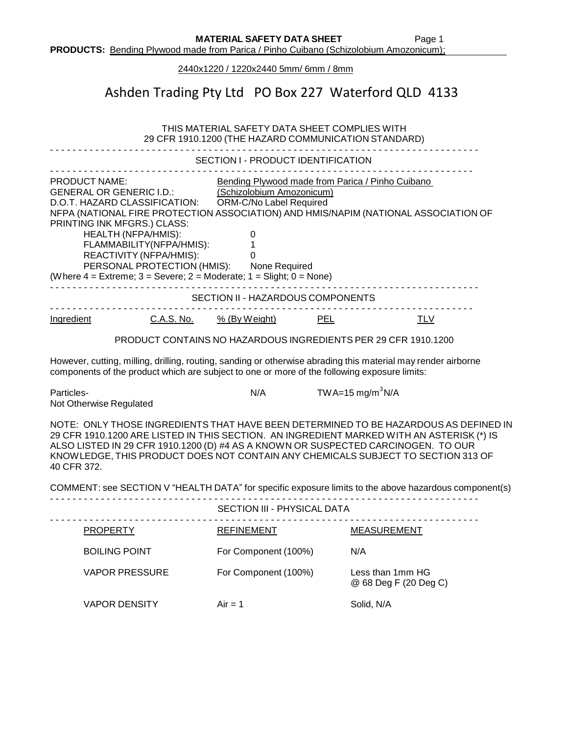2440x1220 / 1220x2440 5mm/ 6mm / 8mm

## Ashden Trading Pty Ltd PO Box 227 Waterford QLD 4133

| THIS MATERIAL SAFETY DATA SHEET COMPLIES WITH<br>29 CFR 1910.1200 (THE HAZARD COMMUNICATION STANDARD)                                                                                                                                                                                                                                                                                                                                                                                                                                                                |                        |                                           |  |  |
|----------------------------------------------------------------------------------------------------------------------------------------------------------------------------------------------------------------------------------------------------------------------------------------------------------------------------------------------------------------------------------------------------------------------------------------------------------------------------------------------------------------------------------------------------------------------|------------------------|-------------------------------------------|--|--|
| SECTION I - PRODUCT IDENTIFICATION                                                                                                                                                                                                                                                                                                                                                                                                                                                                                                                                   |                        |                                           |  |  |
| <b>PRODUCT NAME:</b><br>Bending Plywood made from Parica / Pinho Cuibano<br>(Schizolobium Amozonicum)<br><b>GENERAL OR GENERIC I.D.:</b><br>ORM-C/No Label Required<br>D.O.T. HAZARD CLASSIFICATION:<br>NFPA (NATIONAL FIRE PROTECTION ASSOCIATION) AND HMIS/NAPIM (NATIONAL ASSOCIATION OF<br>PRINTING INK MFGRS.) CLASS:<br><b>HEALTH (NFPA/HMIS):</b><br>$\pmb{0}$<br>FLAMMABILITY(NFPA/HMIS):<br>1<br>REACTIVITY (NFPA/HMIS):<br>0<br>PERSONAL PROTECTION (HMIS): None Required<br>(Where $4 =$ Extreme; $3 =$ Severe; $2 =$ Moderate; $1 =$ Slight; $0 =$ None) |                        |                                           |  |  |
| SECTION II - HAZARDOUS COMPONENTS                                                                                                                                                                                                                                                                                                                                                                                                                                                                                                                                    |                        |                                           |  |  |
| Ingredient<br><u>C.A.S. No.</u>                                                                                                                                                                                                                                                                                                                                                                                                                                                                                                                                      | PEL<br>$%$ (By Weight) | <b>TLV</b>                                |  |  |
| PRODUCT CONTAINS NO HAZARDOUS INGREDIENTS PER 29 CFR 1910.1200                                                                                                                                                                                                                                                                                                                                                                                                                                                                                                       |                        |                                           |  |  |
| However, cutting, milling, drilling, routing, sanding or otherwise abrading this material may render airborne<br>components of the product which are subject to one or more of the following exposure limits:                                                                                                                                                                                                                                                                                                                                                        |                        |                                           |  |  |
| Particles-<br>Not Otherwise Regulated                                                                                                                                                                                                                                                                                                                                                                                                                                                                                                                                | N/A                    | TWA=15 mg/m <sup>3</sup> N/A              |  |  |
| NOTE: ONLY THOSE INGREDIENTS THAT HAVE BEEN DETERMINED TO BE HAZARDOUS AS DEFINED IN<br>29 CFR 1910.1200 ARE LISTED IN THIS SECTION. AN INGREDIENT MARKED WITH AN ASTERISK (*) IS<br>ALSO LISTED IN 29 CFR 1910.1200 (D) #4 AS A KNOWN OR SUSPECTED CARCINOGEN. TO OUR<br>KNOWLEDGE, THIS PRODUCT DOES NOT CONTAIN ANY CHEMICALS SUBJECT TO SECTION 313 OF<br>40 CFR 372.                                                                                                                                                                                            |                        |                                           |  |  |
| COMMENT: see SECTION V "HEALTH DATA" for specific exposure limits to the above hazardous component(s)                                                                                                                                                                                                                                                                                                                                                                                                                                                                |                        |                                           |  |  |
| SECTION III - PHYSICAL DATA                                                                                                                                                                                                                                                                                                                                                                                                                                                                                                                                          |                        |                                           |  |  |
| <b>PROPERTY</b>                                                                                                                                                                                                                                                                                                                                                                                                                                                                                                                                                      | <b>REFINEMENT</b>      | <b>MEASUREMENT</b>                        |  |  |
| <b>BOILING POINT</b>                                                                                                                                                                                                                                                                                                                                                                                                                                                                                                                                                 | For Component (100%)   | N/A                                       |  |  |
| <b>VAPOR PRESSURE</b>                                                                                                                                                                                                                                                                                                                                                                                                                                                                                                                                                | For Component (100%)   | Less than 1mm HG<br>@ 68 Deg F (20 Deg C) |  |  |
| <b>VAPOR DENSITY</b>                                                                                                                                                                                                                                                                                                                                                                                                                                                                                                                                                 | $Air = 1$              | Solid, N/A                                |  |  |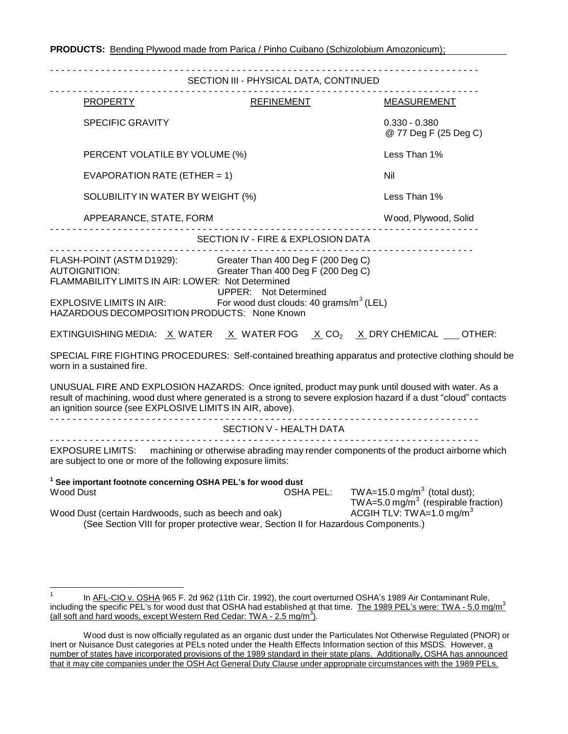| SECTION III - PHYSICAL DATA, CONTINUED                                                                                                                                                                                                                                                                                                                                                                           |                                                                                                                                                                                                                                                                                                                                                                                                                                                                                            |  |
|------------------------------------------------------------------------------------------------------------------------------------------------------------------------------------------------------------------------------------------------------------------------------------------------------------------------------------------------------------------------------------------------------------------|--------------------------------------------------------------------------------------------------------------------------------------------------------------------------------------------------------------------------------------------------------------------------------------------------------------------------------------------------------------------------------------------------------------------------------------------------------------------------------------------|--|
| REFINEMENT                                                                                                                                                                                                                                                                                                                                                                                                       | <b>MEASUREMENT</b>                                                                                                                                                                                                                                                                                                                                                                                                                                                                         |  |
|                                                                                                                                                                                                                                                                                                                                                                                                                  | $0.330 - 0.380$<br>@ 77 Deg F (25 Deg C)                                                                                                                                                                                                                                                                                                                                                                                                                                                   |  |
| PERCENT VOLATILE BY VOLUME (%)                                                                                                                                                                                                                                                                                                                                                                                   |                                                                                                                                                                                                                                                                                                                                                                                                                                                                                            |  |
| EVAPORATION RATE (ETHER = 1)                                                                                                                                                                                                                                                                                                                                                                                     |                                                                                                                                                                                                                                                                                                                                                                                                                                                                                            |  |
| SOLUBILITY IN WATER BY WEIGHT (%)                                                                                                                                                                                                                                                                                                                                                                                |                                                                                                                                                                                                                                                                                                                                                                                                                                                                                            |  |
| APPEARANCE, STATE, FORM<br>.                                                                                                                                                                                                                                                                                                                                                                                     |                                                                                                                                                                                                                                                                                                                                                                                                                                                                                            |  |
|                                                                                                                                                                                                                                                                                                                                                                                                                  |                                                                                                                                                                                                                                                                                                                                                                                                                                                                                            |  |
| FLASH-POINT (ASTM D1929): Greater Than 400 Deg F (200 Deg C)<br><b>Separation Control Greater Than 400 Deg F (200 Deg C)</b><br>FLAMMABILITY LIMITS IN AIR: LOWER: Not Determined<br><b>UPPER:</b> Not Determined<br>EXPLOSIVE LIMITS IN AIR:<br>For wood dust clouds: 40 grams/m <sup>3</sup> (LEL)<br>HAZARDOUS DECOMPOSITION PRODUCTS: None Known<br>an ignition source (see EXPLOSIVE LIMITS IN AIR, above). | EXTINGUISHING MEDIA: $\underline{X}$ WATER $\underline{X}$ WATER FOG $\underline{X}$ CO <sub>2</sub> $\underline{X}$ DRY CHEMICAL $\underline{S}$ OTHER:<br>SPECIAL FIRE FIGHTING PROCEDURES: Self-contained breathing apparatus and protective clothing should be<br>UNUSUAL FIRE AND EXPLOSION HAZARDS: Once ignited, product may punk until doused with water. As a<br>result of machining, wood dust where generated is a strong to severe explosion hazard if a dust "cloud" contacts |  |
| SECTION V - HEALTH DATA                                                                                                                                                                                                                                                                                                                                                                                          |                                                                                                                                                                                                                                                                                                                                                                                                                                                                                            |  |
| are subject to one or more of the following exposure limits:                                                                                                                                                                                                                                                                                                                                                     | EXPOSURE LIMITS: machining or otherwise abrading may render components of the product airborne which                                                                                                                                                                                                                                                                                                                                                                                       |  |
| <sup>1</sup> See important footnote concerning OSHA PEL's for wood dust                                                                                                                                                                                                                                                                                                                                          | OSHA PEL: TWA=15.0 mg/m <sup>3</sup> (total dust);<br>TWA=5.0 mg/m <sup>3</sup> (respirable fraction)                                                                                                                                                                                                                                                                                                                                                                                      |  |
|                                                                                                                                                                                                                                                                                                                                                                                                                  |                                                                                                                                                                                                                                                                                                                                                                                                                                                                                            |  |

**PRODUCTS:** Bending Plywood made from Parica / Pinho Cuibano (Schizolobium Amozonicum);

<sup>&</sup>lt;sup>1</sup> In AFL-CIO v. OSHA 965 F. 2d 962 (11th Cir. 1992), the court overturned OSHA's 1989 Air Contaminant Rule, including the specific PEL's for wood dust that OSHA had established at that time. The 1989 PEL's were: TWA - 5.0 mg/m<sup>3</sup> (all soft and hard woods, except Western Red Cedar: TWA - 2.5 mg/m<sup>3</sup>).

Wood dust is now officially regulated as an organic dust under the Particulates Not Otherwise Regulated (PNOR) or Inert or Nuisance Dust categories at PELs noted under the Health Effects Information section of this MSDS. However, a number of states have incorporated provisions of the 1989 standard in their state plans. Additionally, OSHA has announced that it may cite companies under the OSH Act General Duty Clause under appropriate circumstances with the 1989 PELs.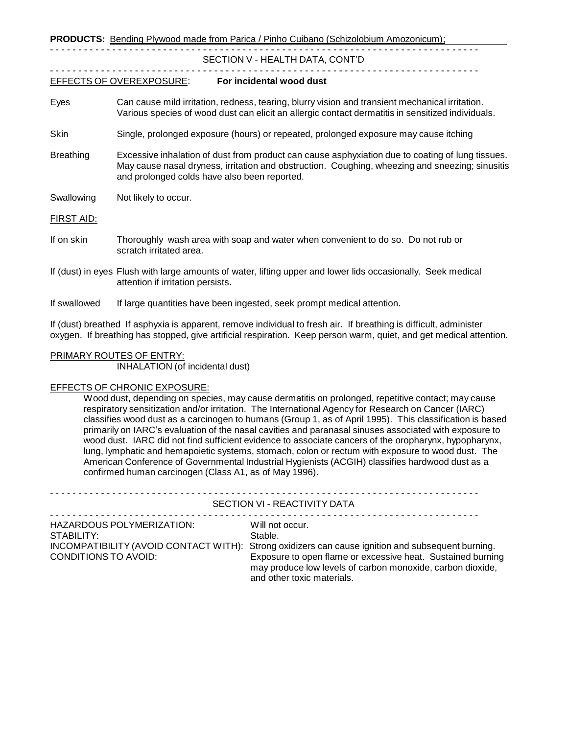**PRODUCTS:** Bending Plywood made from Parica / Pinho Cuibano (Schizolobium Amozonicum);

#### - - - - - - - - - - - - - - - - - - - - - - - - - - - - - - - - - - - - - - - - - - - - - - - - - - - - - - - - - - - - - - - - - - - - - - - - - - - - SECTION V - HEALTH DATA, CONT'D

### - - - - - - - - - - - - - - - - - - - - - - - - - - - - - - - - - - - - - - - - - - - - - - - - - - - - - - - - - - - - - - - - - - - - - - - - - - - -

- EFFECTS OF OVEREXPOSURE: **For incidental wood dust**
- Eyes Can cause mild irritation, redness, tearing, blurry vision and transient mechanical irritation. Various species of wood dust can elicit an allergic contact dermatitis in sensitized individuals.
- Skin Single, prolonged exposure (hours) or repeated, prolonged exposure may cause itching
- Breathing Excessive inhalation of dust from product can cause asphyxiation due to coating of lung tissues. May cause nasal dryness, irritation and obstruction. Coughing, wheezing and sneezing; sinusitis and prolonged colds have also been reported.
- Swallowing Not likely to occur.

FIRST AID:

- If on skin Thoroughly wash area with soap and water when convenient to do so. Do not rub or scratch irritated area.
- If (dust) in eyes Flush with large amounts of water, lifting upper and lower lids occasionally. Seek medical attention if irritation persists.
- If swallowed If large quantities have been ingested, seek prompt medical attention.

If (dust) breathed If asphyxia is apparent, remove individual to fresh air. If breathing is difficult, administer oxygen. If breathing has stopped, give artificial respiration. Keep person warm, quiet, and get medical attention.

### PRIMARY ROUTES OF ENTRY:

INHALATION (of incidental dust)

#### EFFECTS OF CHRONIC EXPOSURE:

Wood dust, depending on species, may cause dermatitis on prolonged, repetitive contact; may cause respiratory sensitization and/or irritation. The International Agency for Research on Cancer (IARC) classifies wood dust as a carcinogen to humans (Group 1, as of April 1995). This classification is based primarily on IARC's evaluation of the nasal cavities and paranasal sinuses associated with exposure to wood dust. IARC did not find sufficient evidence to associate cancers of the oropharynx, hypopharynx, lung, lymphatic and hemapoietic systems, stomach, colon or rectum with exposure to wood dust. The American Conference of Governmental Industrial Hygienists (ACGIH) classifies hardwood dust as a confirmed human carcinogen (Class A1, as of May 1996).

|                                                                 | SECTION VI - REACTIVITY DATA                                                                                                                                                                                                                                                               |
|-----------------------------------------------------------------|--------------------------------------------------------------------------------------------------------------------------------------------------------------------------------------------------------------------------------------------------------------------------------------------|
| HAZARDOUS POLYMERIZATION:<br>STABILITY:<br>CONDITIONS TO AVOID: | Will not occur.<br>Stable.<br>INCOMPATIBILITY (AVOID CONTACT WITH): Strong oxidizers can cause ignition and subsequent burning.<br>Exposure to open flame or excessive heat. Sustained burning<br>may produce low levels of carbon monoxide, carbon dioxide,<br>and other toxic materials. |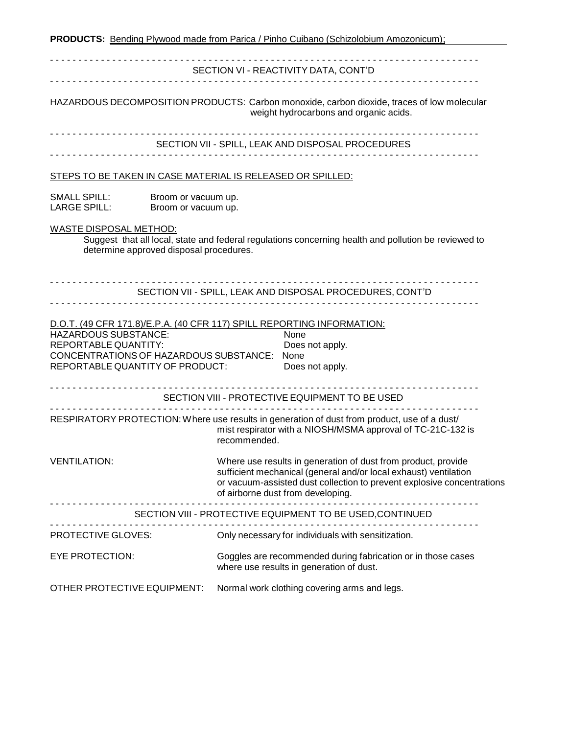**PRODUCTS:** Bending Plywood made from Parica / Pinho Cuibano (Schizolobium Amozonicum); - - - - - - - - - - - - - - - - - - - - - - - - - - - - - - - - - - - - - - - - - - - - - - - - - - - - - - - - - - - - - - - - - - - - - - - - - - - - SECTION VI - REACTIVITY DATA, CONT'D - - - - - - - - - - - - - - - - - - - - - - - - - - - - - - - - - - - - - - - - - - - - - - - - - - - - - - - - - - - - - - - - - - - - - - - - - - - - HAZARDOUS DECOMPOSITION PRODUCTS: Carbon monoxide, carbon dioxide, traces of low molecular weight hydrocarbons and organic acids. - - - - - - - - - - - - - - - - - - - - - - - - - - - - - - - - - - - - - - - - - - - - - - - - - - - - - - - - - - - - - - - - - - - - - - - - - - - - SECTION VII - SPILL, LEAK AND DISPOSAL PROCEDURES - - - - - - - - - - - - - - - - - - - - - - - - - - - - - - - - - - - - - - - - - - - - - - - - - - - - - - - - - - - - - - - - - - - - - - - - - - - - STEPS TO BE TAKEN IN CASE MATERIAL IS RELEASED OR SPILLED: SMALL SPILL: Broom or vacuum up. LARGE SPILL: Broom or vacuum up. WASTE DISPOSAL METHOD: Suggest that all local, state and federal regulations concerning health and pollution be reviewed to determine approved disposal procedures. - - - - - - - - - - - - - - - - - - - - - - - - - - - - - - - - - - - - - - - - - - - - - - - - - - - - - - - - - - - - - - - - - - - - - - - - - - - - SECTION VII - SPILL, LEAK AND DISPOSAL PROCEDURES, CONT'D - - - - - - - - - - - - - - - - - - - - - - - - - - - - - - - - - - - - - - - - - - - - - - - - - - - - - - - - - - - - - - - - - - - - - - - - - - - - D.O.T. (49 CFR 171.8)/E.P.A. (40 CFR 117) SPILL REPORTING INFORMATION: HAZARDOUS SUBSTANCE: None REPORTABLE QUANTITY: Does not apply. CONCENTRATIONS OF HAZARDOUS SUBSTANCE: None REPORTABLE QUANTITY OF PRODUCT: Does not apply. - - - - - - - - - - - - - - - - - - - - - - - - - - - - - - - - - - - - - - - - - - - - - - - - - - - - - - - - - - - - - - - - - - - - - - - - - - - - SECTION VIII - PROTECTIVE EQUIPMENT TO BE USED - - - - - - - - - - - - - - - - - - - - - - - - - - - - - - - - - - - - - - - - - - - - - - - - - - - - - - - - - - - - - - - - - - - - - - - - - - - - RESPIRATORY PROTECTION:Where use results in generation of dust from product, use of a dust/ mist respirator with a NIOSH/MSMA approval of TC-21C-132 is recommended. VENTILATION: Where use results in generation of dust from product, provide sufficient mechanical (general and/or local exhaust) ventilation or vacuum-assisted dust collection to prevent explosive concentrations of airborne dust from developing. - - - - - - - - - - - - - - - - - - - - - - - - - - - - - - - - - - - - - - - - - - - - - - - - - - - - - - - - - - - - - - - - - - - - - - - - - - - - SECTION VIII - PROTECTIVE EQUIPMENT TO BE USED,CONTINUED - - - - - - - - - - - - - - - - - - - - - - - - - - - - - - - - - - - - - - - - - - - - - - - - - - - - - - - - - - - - - - - - - - - - - - - - - - - - PROTECTIVE GLOVES: Only necessary for individuals with sensitization. EYE PROTECTION: Goggles are recommended during fabrication or in those cases where use results in generation of dust. OTHER PROTECTIVE EQUIPMENT: Normal work clothing covering arms and legs.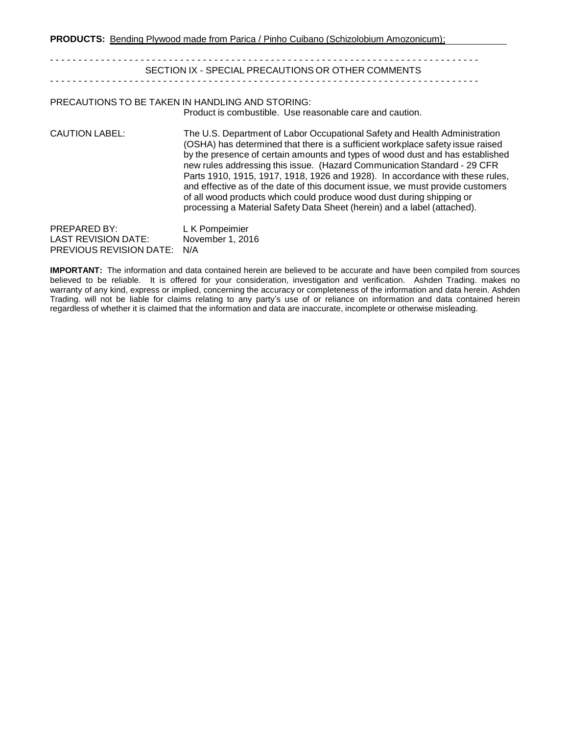**PRODUCTS:** Bending Plywood made from Parica / Pinho Cuibano (Schizolobium Amozonicum);

- - - - - - - - - - - - - - - - - - - - - - - - - - - - - - - - - - - - - - - - - - - - - - - - - - - - - - - - - - - - - - - - - - - - - - - - - - - - SECTION IX - SPECIAL PRECAUTIONS OR OTHER COMMENTS - - - - - - - - - - - - - - - - - - - - - - - - - - - - - - - - - - - - - - - - - - - - - - - - - - - - - - - - - - - - - - - - - - - - - - - - - - - - PRECAUTIONS TO BE TAKEN IN HANDLING AND STORING: Product is combustible. Use reasonable care and caution. CAUTION LABEL: The U.S. Department of Labor Occupational Safety and Health Administration (OSHA) has determined that there is a sufficient workplace safety issue raised by the presence of certain amounts and types of wood dust and has established new rules addressing this issue. (Hazard Communication Standard - 29 CFR Parts 1910, 1915, 1917, 1918, 1926 and 1928). In accordance with these rules, and effective as of the date of this document issue, we must provide customers of all wood products which could produce wood dust during shipping or processing a Material Safety Data Sheet (herein) and a label (attached). PREPARED BY:<br>
LAST REVISION DATE: November 1, 2016 LAST REVISION DATE: PREVIOUS REVISION DATE: N/A

**IMPORTANT:** The information and data contained herein are believed to be accurate and have been compiled from sources believed to be reliable. It is offered for your consideration, investigation and verification. Ashden Trading. makes no warranty of any kind, express or implied, concerning the accuracy or completeness of the information and data herein. Ashden Trading. will not be liable for claims relating to any party's use of or reliance on information and data contained herein regardless of whether it is claimed that the information and data are inaccurate, incomplete or otherwise misleading.